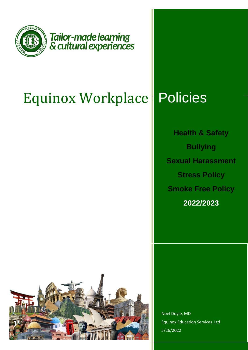

Tailor-made learning<br>& cultural experiences

## Equinox Workplace **Policies**

**Health & Safety Bullying Sexual Harassment Stress Policy Smoke Free Policy 2022/2023**



Noel Doyle, MD Equinox Education Services Ltd 5/26/2022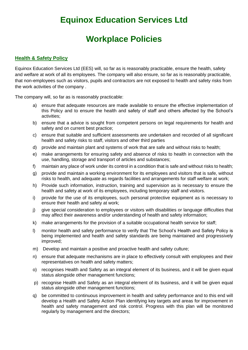# **Equinox Education Services Ltd**

## **Workplace Policies**

## **Health & Safety Policy**

Equinox Education Services Ltd (EES) will, so far as is reasonably practicable, ensure the health, safety and welfare at work of all its employees. The company will also ensure, so far as is reasonably practicable, that non-employees such as visitors, pupils and contractors are not exposed to health and safety risks from the work activities of the company .

The company will, so far as is reasonably practicable:

- a) ensure that adequate resources are made available to ensure the effective implementation of this Policy and to ensure the health and safety of staff and others affected by the School's activities;
- b) ensure that a advice is sought from competent persons on legal requirements for health and safety and on current best practice;
- c) ensure that suitable and sufficient assessments are undertaken and recorded of all significant health and safety risks to staff, visitors and other third parties
- d) provide and maintain plant and systems of work that are safe and without risks to health;
- e) make arrangements for ensuring safety and absence of risks to health in connection with the use, handling, storage and transport of articles and substances;
- f) maintain any place of work under its control in a condition that is safe and without risks to health;
- g) provide and maintain a working environment for its employees and visitors that is safe, without risks to health, and adequate as regards facilities and arrangements for staff welfare at work;
- h) Provide such information, instruction, training and supervision as is necessary to ensure the health and safety at work of its employees, including temporary staff and visitors.
- i) provide for the use of its employees, such personal protective equipment as is necessary to ensure their health and safety at work;
- j) give special consideration to employees or visitors with disabilities or language difficulties that may affect their awareness and/or understanding of health and safety information;
- k) make arrangements for the provision of a suitable occupational health service for staff;
- l) monitor health and safety performance to verify that The School's Health and Safety Policy is being implemented and health and safety standards are being maintained and progressively improved;
- m) Develop and maintain a positive and proactive health and safety culture;
- n) ensure that adequate mechanisms are in place to effectively consult with employees and their representatives on health and safety matters;
- o) recognises Health and Safety as an integral element of its business, and it will be given equal status alongside other management functions;
- p) recognise Health and Safety as an integral element of its business, and it will be given equal status alongside other management functions;
- q) be committed to continuous improvement in health and safety performance and to this end will develop a Health and Safety Action Plan identifying key targets and areas for improvement in health and safety management and risk control. Progress with this plan will be monitored regularly by management and the directors;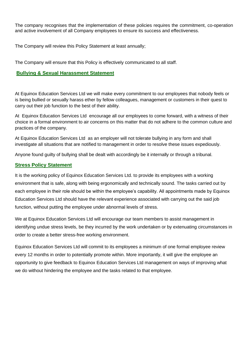The company recognises that the implementation of these policies requires the commitment, co-operation and active involvement of all Company employees to ensure its success and effectiveness.

The Company will review this Policy Statement at least annually;

The Company will ensure that this Policy is effectively communicated to all staff.

## **Bullying & Sexual Harassment Statement**

At Equinox Education Services Ltd we will make every commitment to our employees that nobody feels or is being bullied or sexually harass ether by fellow colleagues, management or customers in their quest to carry out their job function to the best of their ability.

At Equinox Education Services Ltd encourage all our employees to come forward, with a witness of their choice in a formal environment to air concerns on this matter that do not adhere to the common culture and practices of the company.

At Equinox Education Services Ltd as an employer will not tolerate bullying in any form and shall investigate all situations that are notified to management in order to resolve these issues expediously.

Anyone found guilty of bullying shall be dealt with accordingly be it internally or through a tribunal.

### **Stress Policy Statement**

It is the working policy of Equinox Education Services Ltd. to provide its employees with a working environment that is safe, along with being ergonomically and technically sound. The tasks carried out by each employee in their role should be within the employee's capability. All appointments made by Equinox Education Services Ltd should have the relevant experience associated with carrying out the said job function, without putting the employee under abnormal levels of stress.

We at Equinox Education Services Ltd will encourage our team members to assist management in identifying undue stress levels, be they incurred by the work undertaken or by extenuating circumstances in order to create a better stress-free working environment.

Equinox Education Services Ltd will commit to its employees a minimum of one formal employee review every 12 months in order to potentially promote within. More importantly, it will give the employee an opportunity to give feedback to Equinox Education Services Ltd management on ways of improving what we do without hindering the employee and the tasks related to that employee.